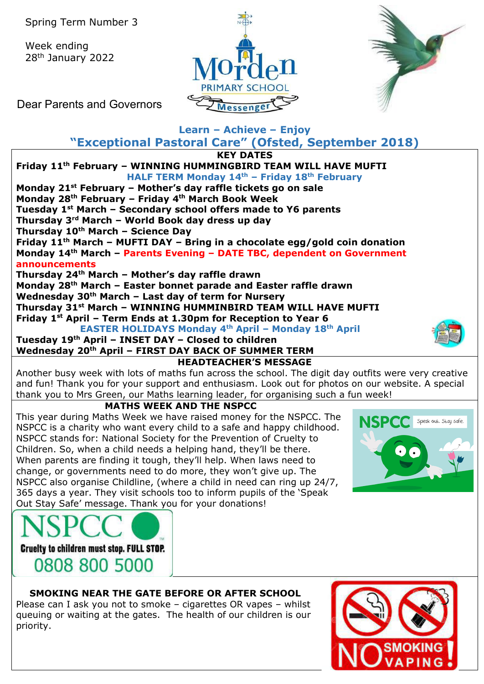Week ending 28th January 2022





Dear Parents and Governors

# **Learn – Achieve – Enjoy**

**"Exceptional Pastoral Care" (Ofsted, September 2018)**

**KEY DATES**



change, or governments need to do more, they won't give up. The NSPCC also organise Childline, (where a child in need can ring up 24/7, 365 days a year. They visit schools too to inform pupils of the 'Speak Out Stay Safe' message. Thank you for your donations!





#### **SMOKING NEAR THE GATE BEFORE OR AFTER SCHOOL**

Please can I ask you not to smoke – cigarettes OR vapes – whilst queuing or waiting at the gates. The health of our children is our priority.

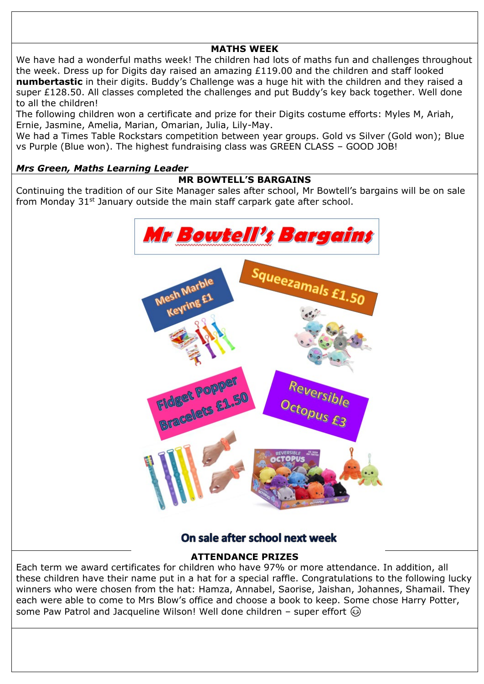# **MATHS WEEK**

We have had a wonderful maths week! The children had lots of maths fun and challenges throughout the week. Dress up for Digits day raised an amazing £119.00 and the children and staff looked **numbertastic** in their digits. Buddy's Challenge was a huge hit with the children and they raised a super £128.50. All classes completed the challenges and put Buddy's key back together. Well done to all the children!

The following children won a certificate and prize for their Digits costume efforts: Myles M, Ariah, Ernie, Jasmine, Amelia, Marian, Omarian, Julia, Lily-May.

We had a Times Table Rockstars competition between year groups. Gold vs Silver (Gold won); Blue vs Purple (Blue won). The highest fundraising class was GREEN CLASS – GOOD JOB!

#### *Mrs Green, Maths Learning Leader*

#### **MR BOWTELL'S BARGAINS**

Continuing the tradition of our Site Manager sales after school, Mr Bowtell's bargains will be on sale from Monday  $31<sup>st</sup>$  January outside the main staff carpark gate after school.



# On sale after school next week

### **ATTENDANCE PRIZES**

Each term we award certificates for children who have 97% or more attendance. In addition, all these children have their name put in a hat for a special raffle. Congratulations to the following lucky winners who were chosen from the hat: Hamza, Annabel, Saorise, Jaishan, Johannes, Shamail. They each were able to come to Mrs Blow's office and choose a book to keep. Some chose Harry Potter, some Paw Patrol and Jacqueline Wilson! Well done children – super effort  $\circledcirc$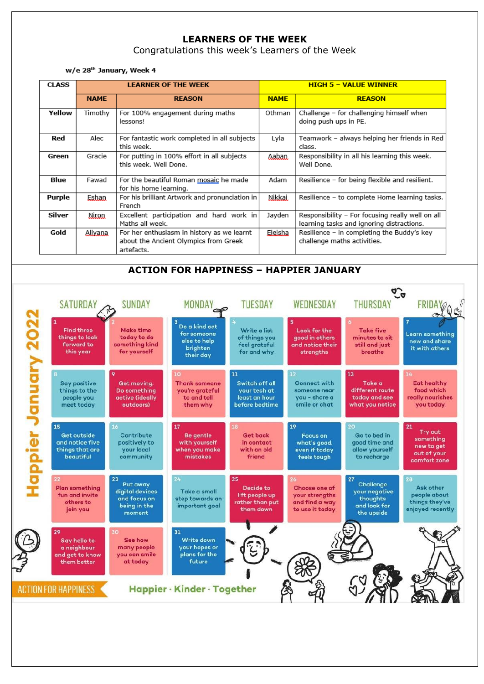## **LEARNERS OF THE WEEK**

Congratulations this week's Learners of the Week

w/e 28<sup>th</sup> January, Week 4

| <b>CLASS</b> |             | <b>LEARNER OF THE WEEK</b>                                                                        | <b>HIGH 5 - VALUE WINNER</b> |                                                                                               |  |
|--------------|-------------|---------------------------------------------------------------------------------------------------|------------------------------|-----------------------------------------------------------------------------------------------|--|
|              | <b>NAME</b> | <b>REASON</b>                                                                                     | <b>NAME</b>                  | <b>REASON</b>                                                                                 |  |
| Yellow       | Timothy     | For 100% engagement during maths<br>lessons!                                                      | Othman                       | Challenge - for challenging himself when<br>doing push ups in PE.                             |  |
| Red          | Alec        | For fantastic work completed in all subjects<br>this week.                                        | Lyla                         | Teamwork - always helping her friends in Red<br>class.                                        |  |
| Green        | Gracie      | For putting in 100% effort in all subjects<br>this week. Well Done.                               | Aaban.                       | Responsibility in all his learning this week.<br>Well Done.                                   |  |
| Blue         | Fawad       | For the beautiful Roman mosaic he made<br>for his home learning.                                  | Adam                         | Resilience - for being flexible and resilient.                                                |  |
| Purple       | Eshan       | For his brilliant Artwork and pronunciation in<br>French                                          | Nikkai.                      | Resilience - to complete Home learning tasks.                                                 |  |
| Silver       | Niron       | Excellent participation and hard work in<br>Maths all week.                                       | Jayden                       | Responsibility - For focusing really well on all<br>learning tasks and ignoring distractions. |  |
| Gold         | Alixana     | For her enthusiasm in history as we learnt<br>about the Ancient Olympics from Greek<br>artefacts. | Eleisha                      | Resilience - in completing the Buddy's key<br>challenge maths activities.                     |  |

#### **ACTION FOR HAPPINESS – HAPPIER JANUARY**

|        | <b>SATURDAY</b>                                                        | <b>SUNDAY</b>                                                               | MONDAY                                                                   | <b>TUESDAY</b>                                                          | WEDNESDAY                                                                                | <b>THURSDAY</b>                                                            | FRID.                                                                          |
|--------|------------------------------------------------------------------------|-----------------------------------------------------------------------------|--------------------------------------------------------------------------|-------------------------------------------------------------------------|------------------------------------------------------------------------------------------|----------------------------------------------------------------------------|--------------------------------------------------------------------------------|
| 2022   | <b>Find three</b><br>things to look<br>forward to<br>this year         | <b>Make time</b><br>today to do<br>something kind<br>for yourself           | Do a kind act<br>for someone<br>else to help<br>brighten<br>their day    | Write a list<br>of things you<br>feel grateful<br>for and why           | Look for the<br>good in others<br>and notice their<br>strengths                          | <b>Take five</b><br>minutes to sit<br>still and just<br>breathe            | Learn something<br>new and share<br>it with others                             |
|        | <b>Say positive</b><br>things to the<br>people you<br>meet today       | Get moving.<br>Do something<br>active (ideally<br>outdoors)                 | 10<br><b>Thank someone</b><br>you're grateful<br>to and tell<br>them why | 11<br>Switch off all<br>vour tech at<br>least an hour<br>before bedtime | 12 <sup>2</sup><br><b>Connect with</b><br>someone near<br>you - share a<br>smile or chat | 13<br>Take a<br>different route<br>today and see<br>what you notice        | i A<br>Eat healthy<br>food which<br>really nourishes<br>you today              |
| appier | 15<br>Get outside<br>and notice five<br>things that are<br>beautiful   | 16<br>Contribute<br>positively to<br>your local<br>community                | 17<br><b>Be gentle</b><br>with yourself<br>when you make<br>mistakes     | <b>is</b><br><b>Get back</b><br>in contact<br>with an old<br>friend     | 19<br><b>Focus on</b><br>what's good,<br>even if today<br>feels tough                    | 20<br>Go to bed in<br>good time and<br>allow yourself<br>to recharge       | 21<br><b>Try out</b><br>something<br>new to get<br>out of your<br>comfort zone |
|        | 22<br><b>Plan something</b><br>fun and invite<br>others to<br>join you | 23<br>Put away<br>digital devices<br>and focus on<br>being in the<br>moment | 24<br>Take a small<br>step towards an<br>important goal                  | 25<br>Decide to<br>lift people up<br>rather than put<br>them down       | 26 <sub>1</sub><br>Choose one of<br>your strengths<br>and find a way<br>to use it today  | 27<br>Challenge<br>your negative<br>thoughts<br>and look for<br>the upside | 28<br>Ask other<br>people about<br>things they've<br>enjoyed recently          |
|        | 29<br>Say hello to<br>a neighbour<br>and get to know<br>them better    | 30<br>See how<br>many people<br>you can smile<br>at today                   | 31<br><b>Write down</b><br>your hopes or<br>plans for the<br>future      |                                                                         |                                                                                          |                                                                            |                                                                                |
|        | ACTION FOR HAPPINESS                                                   |                                                                             | Happier · Kinder · Together                                              |                                                                         |                                                                                          |                                                                            |                                                                                |